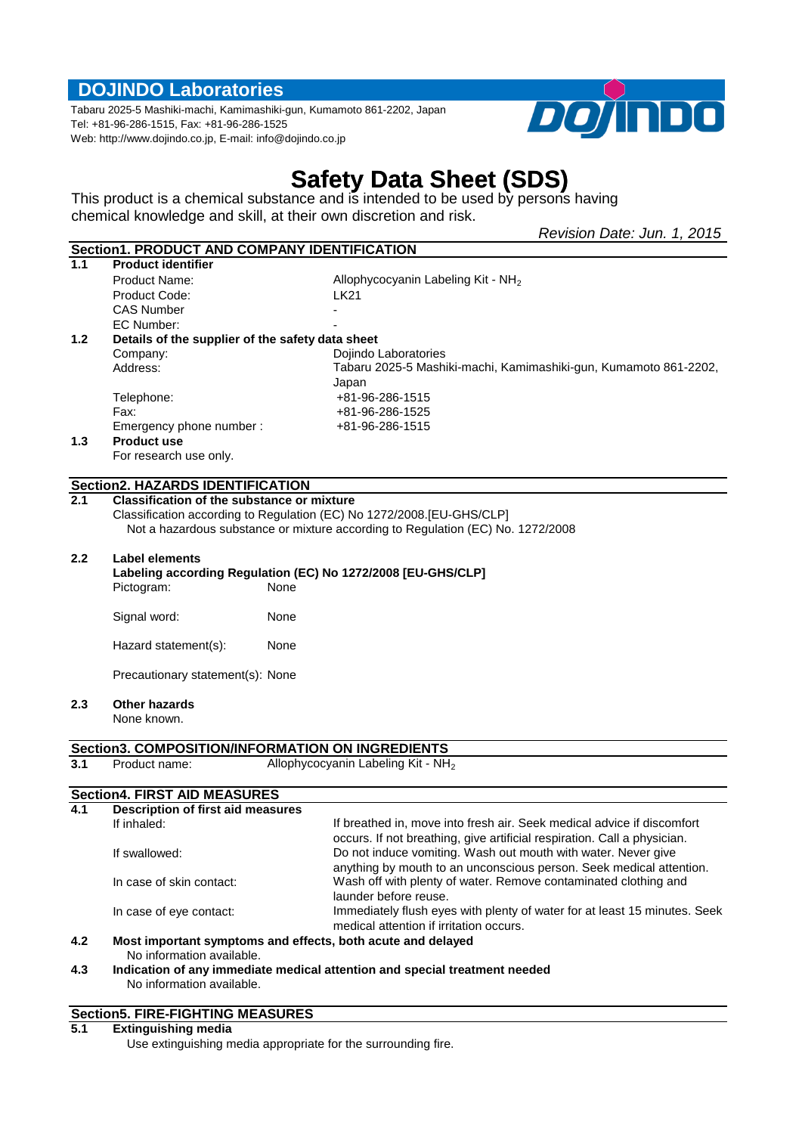# **DOJINDO Laboratories**

Tabaru 2025-5 Mashiki-machi, Kamimashiki-gun, Kumamoto 861-2202, Japan Tel: +81-96-286-1515, Fax: +81-96-286-1525 Web: http://www.dojindo.co.jp, E-mail: info@dojindo.co.jp



# **Safety Data Sheet (SDS)**

This product is a chemical substance and is intended to be used by persons having chemical knowledge and skill, at their own discretion and risk.

|                  |                                                                   |      | Revision Date: Jun. 1, 2015                                                                                          |  |  |
|------------------|-------------------------------------------------------------------|------|----------------------------------------------------------------------------------------------------------------------|--|--|
|                  | Section1. PRODUCT AND COMPANY IDENTIFICATION                      |      |                                                                                                                      |  |  |
| 1.1              | <b>Product identifier</b>                                         |      |                                                                                                                      |  |  |
|                  | <b>Product Name:</b>                                              |      | Allophycocyanin Labeling Kit - NH <sub>2</sub>                                                                       |  |  |
|                  | Product Code:                                                     |      | <b>LK21</b>                                                                                                          |  |  |
|                  | <b>CAS Number</b>                                                 |      |                                                                                                                      |  |  |
|                  | EC Number:                                                        |      |                                                                                                                      |  |  |
| 1.2              | Details of the supplier of the safety data sheet                  |      |                                                                                                                      |  |  |
|                  | Company:                                                          |      | Dojindo Laboratories                                                                                                 |  |  |
|                  | Address:                                                          |      | Tabaru 2025-5 Mashiki-machi, Kamimashiki-gun, Kumamoto 861-2202,                                                     |  |  |
|                  |                                                                   |      | Japan                                                                                                                |  |  |
|                  | Telephone:                                                        |      | +81-96-286-1515                                                                                                      |  |  |
|                  | Fax:                                                              |      | +81-96-286-1525                                                                                                      |  |  |
|                  | Emergency phone number :                                          |      | +81-96-286-1515                                                                                                      |  |  |
| 1.3              | <b>Product use</b>                                                |      |                                                                                                                      |  |  |
|                  | For research use only.                                            |      |                                                                                                                      |  |  |
|                  | <b>Section2. HAZARDS IDENTIFICATION</b>                           |      |                                                                                                                      |  |  |
| 2.1              | <b>Classification of the substance or mixture</b>                 |      |                                                                                                                      |  |  |
|                  |                                                                   |      | Classification according to Regulation (EC) No 1272/2008.[EU-GHS/CLP]                                                |  |  |
|                  |                                                                   |      | Not a hazardous substance or mixture according to Regulation (EC) No. 1272/2008                                      |  |  |
|                  |                                                                   |      |                                                                                                                      |  |  |
| 2.2 <sub>2</sub> | <b>Label elements</b>                                             |      |                                                                                                                      |  |  |
|                  |                                                                   |      | Labeling according Regulation (EC) No 1272/2008 [EU-GHS/CLP]                                                         |  |  |
|                  | Pictogram:                                                        | None |                                                                                                                      |  |  |
|                  |                                                                   |      |                                                                                                                      |  |  |
|                  | Signal word:                                                      | None |                                                                                                                      |  |  |
|                  | Hazard statement(s):                                              | None |                                                                                                                      |  |  |
|                  | Precautionary statement(s): None                                  |      |                                                                                                                      |  |  |
|                  |                                                                   |      |                                                                                                                      |  |  |
| 2.3              | <b>Other hazards</b>                                              |      |                                                                                                                      |  |  |
|                  | None known.                                                       |      |                                                                                                                      |  |  |
|                  |                                                                   |      |                                                                                                                      |  |  |
| 3.1              | Section3. COMPOSITION/INFORMATION ON INGREDIENTS<br>Product name: |      | Allophycocyanin Labeling Kit - NH <sub>2</sub>                                                                       |  |  |
|                  |                                                                   |      |                                                                                                                      |  |  |
|                  | <b>Section4. FIRST AID MEASURES</b>                               |      |                                                                                                                      |  |  |
| 4.1              | <b>Description of first aid measures</b>                          |      |                                                                                                                      |  |  |
|                  | If inhaled:                                                       |      | If breathed in, move into fresh air. Seek medical advice if discomfort                                               |  |  |
|                  |                                                                   |      | occurs. If not breathing, give artificial respiration. Call a physician.                                             |  |  |
|                  | If swallowed:                                                     |      | Do not induce vomiting. Wash out mouth with water. Never give                                                        |  |  |
|                  |                                                                   |      | anything by mouth to an unconscious person. Seek medical attention.                                                  |  |  |
|                  | In case of skin contact:                                          |      | Wash off with plenty of water. Remove contaminated clothing and                                                      |  |  |
|                  |                                                                   |      | launder before reuse.                                                                                                |  |  |
|                  | In case of eye contact:                                           |      | Immediately flush eyes with plenty of water for at least 15 minutes. Seek<br>medical attention if irritation occurs. |  |  |
| 4.2              |                                                                   |      | Most important symptoms and effects, both acute and delayed                                                          |  |  |
|                  | No information available.                                         |      |                                                                                                                      |  |  |
| 4.3              |                                                                   |      | Indication of any immediate medical attention and special treatment needed                                           |  |  |
|                  | No information available.                                         |      |                                                                                                                      |  |  |
|                  |                                                                   |      |                                                                                                                      |  |  |

# **Section5. FIRE-FIGHTING MEASURES**

**5.1 Extinguishing media**

Use extinguishing media appropriate for the surrounding fire.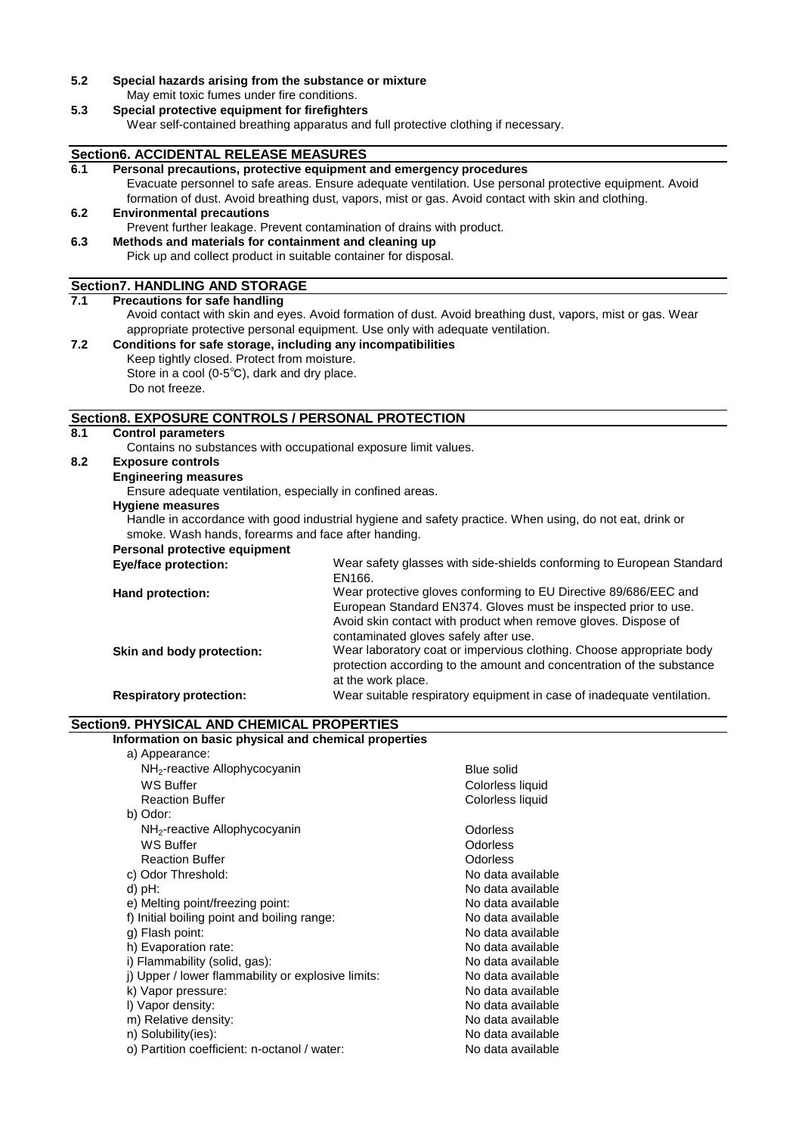**5.2 Special hazards arising from the substance or mixture** May emit toxic fumes under fire conditions.

#### **5.3 Special protective equipment for firefighters**

Wear self-contained breathing apparatus and full protective clothing if necessary.

#### **Section6. ACCIDENTAL RELEASE MEASURES**

|                                                                                                            | <b>Section6. ACCIDENTAL RELEASE MEASURES</b>                                                                                       |                                                                                                         |  |
|------------------------------------------------------------------------------------------------------------|------------------------------------------------------------------------------------------------------------------------------------|---------------------------------------------------------------------------------------------------------|--|
| 6.1                                                                                                        | Personal precautions, protective equipment and emergency procedures                                                                |                                                                                                         |  |
|                                                                                                            |                                                                                                                                    | Evacuate personnel to safe areas. Ensure adequate ventilation. Use personal protective equipment. Avoid |  |
|                                                                                                            |                                                                                                                                    | formation of dust. Avoid breathing dust, vapors, mist or gas. Avoid contact with skin and clothing.     |  |
| 6.2                                                                                                        | <b>Environmental precautions</b>                                                                                                   |                                                                                                         |  |
|                                                                                                            | Prevent further leakage. Prevent contamination of drains with product.                                                             |                                                                                                         |  |
| 6.3                                                                                                        | Methods and materials for containment and cleaning up                                                                              |                                                                                                         |  |
|                                                                                                            | Pick up and collect product in suitable container for disposal.                                                                    |                                                                                                         |  |
|                                                                                                            | <b>Section7. HANDLING AND STORAGE</b>                                                                                              |                                                                                                         |  |
| 7.1                                                                                                        | <b>Precautions for safe handling</b>                                                                                               |                                                                                                         |  |
| Avoid contact with skin and eyes. Avoid formation of dust. Avoid breathing dust, vapors, mist or gas. Wear |                                                                                                                                    |                                                                                                         |  |
|                                                                                                            |                                                                                                                                    | appropriate protective personal equipment. Use only with adequate ventilation.                          |  |
| 7.2                                                                                                        | Conditions for safe storage, including any incompatibilities                                                                       |                                                                                                         |  |
|                                                                                                            | Keep tightly closed. Protect from moisture.                                                                                        |                                                                                                         |  |
|                                                                                                            | Store in a cool (0-5°C), dark and dry place.                                                                                       |                                                                                                         |  |
|                                                                                                            | Do not freeze.                                                                                                                     |                                                                                                         |  |
|                                                                                                            |                                                                                                                                    |                                                                                                         |  |
|                                                                                                            | Section8. EXPOSURE CONTROLS / PERSONAL PROTECTION                                                                                  |                                                                                                         |  |
| $\overline{8.1}$                                                                                           | <b>Control parameters</b><br>Contains no substances with occupational exposure limit values.                                       |                                                                                                         |  |
| 8.2                                                                                                        | <b>Exposure controls</b>                                                                                                           |                                                                                                         |  |
|                                                                                                            | <b>Engineering measures</b>                                                                                                        |                                                                                                         |  |
|                                                                                                            | Ensure adequate ventilation, especially in confined areas.                                                                         |                                                                                                         |  |
|                                                                                                            |                                                                                                                                    |                                                                                                         |  |
|                                                                                                            | <b>Hygiene measures</b><br>Handle in accordance with good industrial hygiene and safety practice. When using, do not eat, drink or |                                                                                                         |  |
|                                                                                                            | smoke. Wash hands, forearms and face after handing.                                                                                |                                                                                                         |  |
|                                                                                                            | Personal protective equipment                                                                                                      |                                                                                                         |  |
|                                                                                                            | <b>Eye/face protection:</b>                                                                                                        | Wear safety glasses with side-shields conforming to European Standard                                   |  |
|                                                                                                            |                                                                                                                                    | EN166.                                                                                                  |  |
|                                                                                                            | Hand protection:                                                                                                                   | Wear protective gloves conforming to EU Directive 89/686/EEC and                                        |  |
|                                                                                                            |                                                                                                                                    | European Standard EN374. Gloves must be inspected prior to use.                                         |  |
|                                                                                                            |                                                                                                                                    | Avoid skin contact with product when remove gloves. Dispose of                                          |  |
|                                                                                                            |                                                                                                                                    | contaminated gloves safely after use.                                                                   |  |
|                                                                                                            | Skin and body protection:                                                                                                          | Wear laboratory coat or impervious clothing. Choose appropriate body                                    |  |
|                                                                                                            |                                                                                                                                    | protection according to the amount and concentration of the substance                                   |  |
|                                                                                                            |                                                                                                                                    | at the work place.                                                                                      |  |
|                                                                                                            | <b>Respiratory protection:</b>                                                                                                     | Wear suitable respiratory equipment in case of inadequate ventilation.                                  |  |

## **Section9. PHYSICAL AND CHEMICAL PROPERTIES**

**Information on basic physical and chemical properties** a) Appearance:

| α) πρροαιαποσ.                                     |                   |
|----------------------------------------------------|-------------------|
| NH <sub>2</sub> -reactive Allophycocyanin          | <b>Blue solid</b> |
| WS Buffer                                          | Colorless liquid  |
| <b>Reaction Buffer</b>                             | Colorless liquid  |
| b) Odor:                                           |                   |
| NH <sub>2</sub> -reactive Allophycocyanin          | Odorless          |
| WS Buffer                                          | Odorless          |
| <b>Reaction Buffer</b>                             | Odorless          |
| c) Odor Threshold:                                 | No data available |
| d) pH:                                             | No data available |
| e) Melting point/freezing point:                   | No data available |
| f) Initial boiling point and boiling range:        | No data available |
| g) Flash point:                                    | No data available |
| h) Evaporation rate:                               | No data available |
| i) Flammability (solid, gas):                      | No data available |
| i) Upper / lower flammability or explosive limits: | No data available |
| k) Vapor pressure:                                 | No data available |
| I) Vapor density:                                  | No data available |
| m) Relative density:                               | No data available |
| n) Solubility(ies):                                | No data available |
| o) Partition coefficient: n-octanol / water:       | No data available |
|                                                    |                   |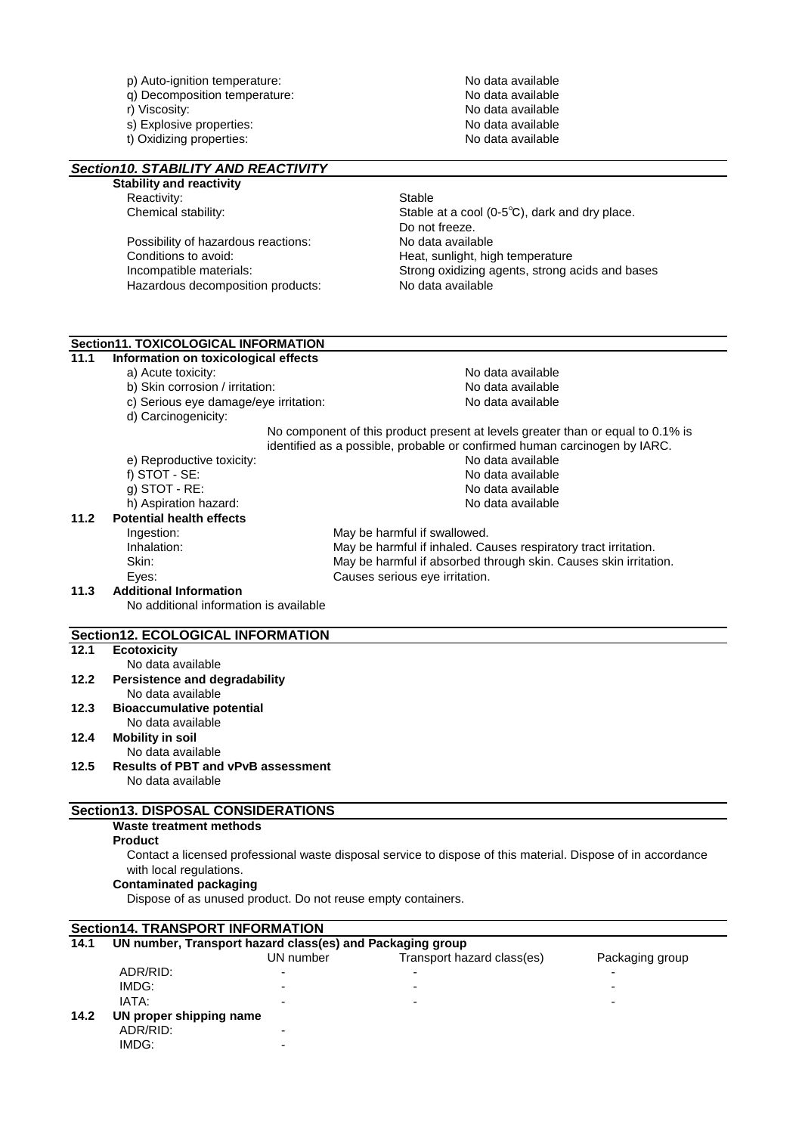|      | p) Auto-ignition temperature:                                           | No data available                                                                                            |
|------|-------------------------------------------------------------------------|--------------------------------------------------------------------------------------------------------------|
|      | q) Decomposition temperature:                                           | No data available                                                                                            |
|      | r) Viscosity:                                                           | No data available                                                                                            |
|      | s) Explosive properties:                                                | No data available                                                                                            |
|      | t) Oxidizing properties:                                                | No data available                                                                                            |
|      |                                                                         |                                                                                                              |
|      | Section 10. STABILITY AND REACTIVITY<br><b>Stability and reactivity</b> |                                                                                                              |
|      | Reactivity:                                                             | <b>Stable</b>                                                                                                |
|      | Chemical stability:                                                     | Stable at a cool (0-5 $^{\circ}$ C), dark and dry place.                                                     |
|      |                                                                         | Do not freeze.                                                                                               |
|      | Possibility of hazardous reactions:                                     | No data available                                                                                            |
|      | Conditions to avoid:                                                    | Heat, sunlight, high temperature                                                                             |
|      | Incompatible materials:                                                 | Strong oxidizing agents, strong acids and bases                                                              |
|      | Hazardous decomposition products:                                       | No data available                                                                                            |
|      |                                                                         |                                                                                                              |
|      | Section11. TOXICOLOGICAL INFORMATION                                    |                                                                                                              |
| 11.1 | Information on toxicological effects                                    |                                                                                                              |
|      | a) Acute toxicity:                                                      | No data available                                                                                            |
|      | b) Skin corrosion / irritation:                                         | No data available                                                                                            |
|      | c) Serious eye damage/eye irritation:                                   | No data available                                                                                            |
|      | d) Carcinogenicity:                                                     |                                                                                                              |
|      |                                                                         | No component of this product present at levels greater than or equal to 0.1% is                              |
|      |                                                                         | identified as a possible, probable or confirmed human carcinogen by IARC.                                    |
|      | e) Reproductive toxicity:                                               | No data available                                                                                            |
|      | f) STOT - SE:                                                           | No data available                                                                                            |
|      | $g)$ STOT - RE:                                                         | No data available                                                                                            |
|      | h) Aspiration hazard:                                                   | No data available                                                                                            |
| 11.2 | <b>Potential health effects</b>                                         |                                                                                                              |
|      | Ingestion:                                                              | May be harmful if swallowed.                                                                                 |
|      | Inhalation:                                                             | May be harmful if inhaled. Causes respiratory tract irritation.                                              |
|      | Skin:                                                                   | May be harmful if absorbed through skin. Causes skin irritation.                                             |
| 11.3 | Eyes:<br><b>Additional Information</b>                                  | Causes serious eye irritation.                                                                               |
|      | No additional information is available                                  |                                                                                                              |
|      |                                                                         |                                                                                                              |
|      | Section12. ECOLOGICAL INFORMATION                                       |                                                                                                              |
| 12.1 | <b>Ecotoxicity</b>                                                      |                                                                                                              |
|      | No data available                                                       |                                                                                                              |
| 12.2 | <b>Persistence and degradability</b><br>No data available               |                                                                                                              |
| 12.3 | <b>Bioaccumulative potential</b>                                        |                                                                                                              |
|      | No data available                                                       |                                                                                                              |
| 12.4 | <b>Mobility in soil</b>                                                 |                                                                                                              |
|      | No data available                                                       |                                                                                                              |
| 12.5 | <b>Results of PBT and vPvB assessment</b>                               |                                                                                                              |
|      | No data available                                                       |                                                                                                              |
|      |                                                                         |                                                                                                              |
|      | Section13. DISPOSAL CONSIDERATIONS                                      |                                                                                                              |
|      | Waste treatment methods                                                 |                                                                                                              |
|      | <b>Product</b>                                                          |                                                                                                              |
|      |                                                                         | Contact a licensed professional waste disposal service to dispose of this material. Dispose of in accordance |
|      | with local regulations.                                                 |                                                                                                              |
|      | <b>Contaminated packaging</b>                                           |                                                                                                              |
|      | Dispose of as unused product. Do not reuse empty containers.            |                                                                                                              |
|      | <b>Section14. TRANSPORT INFORMATION</b>                                 |                                                                                                              |
| 14.1 | UN number, Transport hazard class(es) and Packaging group               |                                                                                                              |
|      | UN number                                                               | Transport hazard class(es)<br>Packaging group                                                                |
|      | $\sqrt{2}$                                                              |                                                                                                              |

 ADR/RID: - - - IMDG: - - - IATA: - - - **14.2 UN proper shipping name** ADR/RID: - IMDG: -